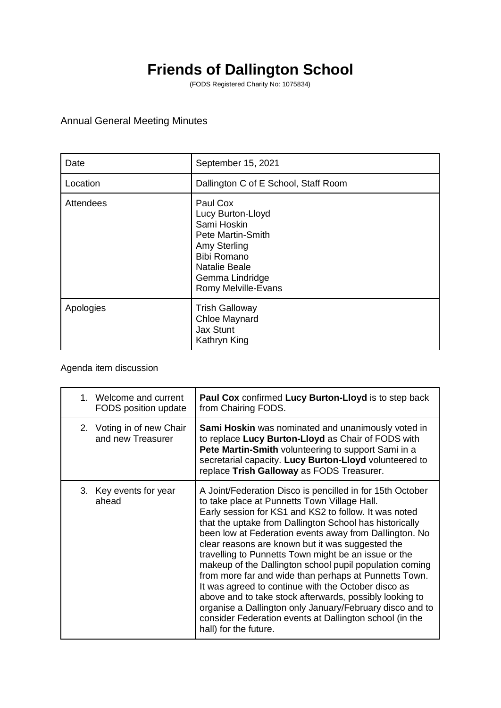## **Friends of Dallington School**

(FODS Registered Charity No: 1075834)

## Annual General Meeting Minutes

| Date      | September 15, 2021                                                                                                                                                        |
|-----------|---------------------------------------------------------------------------------------------------------------------------------------------------------------------------|
| Location  | Dallington C of E School, Staff Room                                                                                                                                      |
| Attendees | Paul Cox<br>Lucy Burton-Lloyd<br>Sami Hoskin<br>Pete Martin-Smith<br>Amy Sterling<br><b>Bibi Romano</b><br><b>Natalie Beale</b><br>Gemma Lindridge<br>Romy Melville-Evans |
| Apologies | <b>Trish Galloway</b><br><b>Chloe Maynard</b><br><b>Jax Stunt</b><br>Kathryn King                                                                                         |

## Agenda item discussion

| 1. Welcome and current<br>FODS position update | <b>Paul Cox</b> confirmed Lucy Burton-Lloyd is to step back<br>from Chairing FODS.                                                                                                                                                                                                                                                                                                                                                                                                                                                                                                                                                                                                                                                                                                        |
|------------------------------------------------|-------------------------------------------------------------------------------------------------------------------------------------------------------------------------------------------------------------------------------------------------------------------------------------------------------------------------------------------------------------------------------------------------------------------------------------------------------------------------------------------------------------------------------------------------------------------------------------------------------------------------------------------------------------------------------------------------------------------------------------------------------------------------------------------|
| 2. Voting in of new Chair<br>and new Treasurer | Sami Hoskin was nominated and unanimously voted in<br>to replace Lucy Burton-Lloyd as Chair of FODS with<br>Pete Martin-Smith volunteering to support Sami in a<br>secretarial capacity. Lucy Burton-Lloyd volunteered to<br>replace Trish Galloway as FODS Treasurer.                                                                                                                                                                                                                                                                                                                                                                                                                                                                                                                    |
| 3. Key events for year<br>ahead                | A Joint/Federation Disco is pencilled in for 15th October<br>to take place at Punnetts Town Village Hall.<br>Early session for KS1 and KS2 to follow. It was noted<br>that the uptake from Dallington School has historically<br>been low at Federation events away from Dallington. No<br>clear reasons are known but it was suggested the<br>travelling to Punnetts Town might be an issue or the<br>makeup of the Dallington school pupil population coming<br>from more far and wide than perhaps at Punnetts Town.<br>It was agreed to continue with the October disco as<br>above and to take stock afterwards, possibly looking to<br>organise a Dallington only January/February disco and to<br>consider Federation events at Dallington school (in the<br>hall) for the future. |